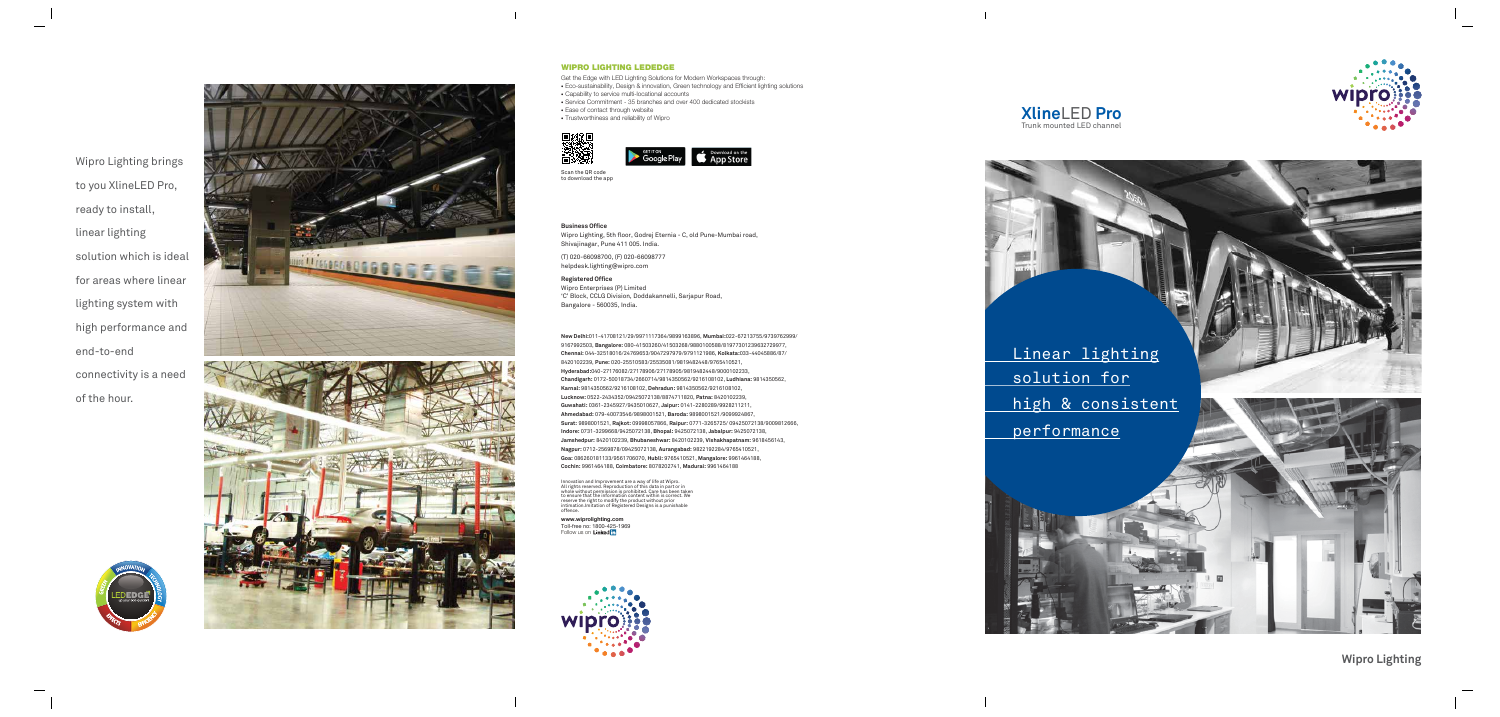



## **Xline**LED **Pro** Trunk mounted LED channel

#### **Business Office**

Wipro Lighting, 5th floor, Godrej Eternia - C, old Pune-Mumbai road, Shivajinagar, Pune 411 005. India.

(T) 020-66098700, (F) 020-66098777 helpdesk.lighting@wipro.com

#### **Registered Office**

Wipro Enterprises (P) Limited 'C' Block, CCLG Division, Doddakannelli, Sarjapur Road, Bangalore - 560035, India.

**New Delhi:**011-41708121/29/9971117364/9899163896, **Mumbai:**022-67213755/9739762999/ 9167992503, **Bangalore:** 080-41503260/41503268/9880100588/81977301239632729977, **Chennai:** 044-32518016/24769653/9047297979/9791121986, **Kolkata:**033-44045886/87/ 8420102239, **Pune:** 020-25510583/25535081/9819482448/9765410521, **Hyderabad:**040-27176082/27178906/27178905/9819482448/9000102233, **Chandigarh:** 0172-50018734/2660714/9814350562/9216108102, **Ludhiana:** 9814350562, **Karnal:** 9814350562/9216108102, **Dehradun:** 9814350562/9216108102, **Lucknow:** 0522-2434352/09425072138/8874711820, **Patna:** 8420102239, **Guwahati:** 0361-2345927/9435010627, **Jaipur:** 0141-2280289/9928211211, **Ahmedabad:** 079-40073546/9898001521, **Baroda:** 9898001521/9099924867, **Surat:** 9898001521, **Rajkot:** 09998057866, **Raipur:** 0771-3265725/ 09425072138/9009812666, **Indore:** 0731-3299668/9425072138, **Bhopal:** 9425072138, **Jabalpur:** 9425072138, **Jamshedpur:** 8420102239, **Bhubaneshwar:** 8420102239, **Vishakhapatnam:** 9618456143, **Nagpur:** 0712-2569878/09425072138, **Aurangabad:** 9822192284/9765410521, **Goa:** 086260181133/9561706070, **Hubli:** 9765410521, **Mangalore:** 9961464188, **Cochin:** 9961464188, **Coimbatore:** 8078202741, **Madurai:** 9961464188

Innovation and Improvement are a way of life at Wipro.<br>All rights reserved. Reproduction of this data in part or in<br>whole without permission is prohibited. Care has been taken<br>to ensure that the information content within

**www.wiprolighting.com** Toll-free no: 1800-425-1969 Follow us on



Scan the QR code to download the app

Get the Edge with LED Lighting Solutions for Modern Workspaces through: • Eco-sustainability, Design & innovation, Green technology and Efficient lighting solutions • Capability to service multi-locational accounts • Service Commitment - 35 branches and over 400 dedicated stockists • Ease of contact through website

• Trustworthiness and reliability of Wipro





#### WIPRO LIGHTING LEDEDGE

Wipro Lighting brings to you XlineLED Pro, ready to install, linear lighting solution which is ideal for areas where linear lighting system with high performance and end-to-end connectivity is a need of the hour.